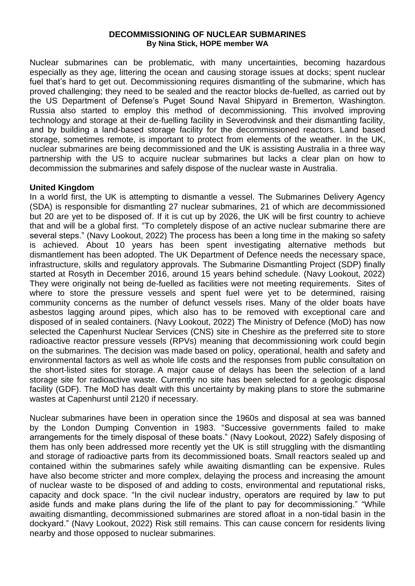#### **DECOMMISSIONING OF NUCLEAR SUBMARINES By Nina Stick, HOPE member WA**

Nuclear submarines can be problematic, with many uncertainties, becoming hazardous especially as they age, littering the ocean and causing storage issues at docks; spent nuclear fuel that's hard to get out. Decommissioning requires dismantling of the submarine, which has proved challenging; they need to be sealed and the reactor blocks de-fuelled, as carried out by the US Department of Defense's Puget Sound Naval Shipyard in Bremerton, Washington. Russia also started to employ this method of decommissioning. This involved improving technology and storage at their de-fuelling facility in Severodvinsk and their dismantling facility, and by building a land-based storage facility for the decommissioned reactors. Land based storage, sometimes remote, is important to protect from elements of the weather. In the UK, nuclear submarines are being decommissioned and the UK is assisting Australia in a three way partnership with the US to acquire nuclear submarines but lacks a clear plan on how to decommission the submarines and safely dispose of the nuclear waste in Australia.

### **United Kingdom**

In a world first, the UK is attempting to dismantle a vessel. The Submarines Delivery Agency (SDA) is responsible for dismantling 27 nuclear submarines, 21 of which are decommissioned but 20 are yet to be disposed of. If it is cut up by 2026, the UK will be first country to achieve that and will be a global first. "To completely dispose of an active nuclear submarine there are several steps." (Navy Lookout, 2022) The process has been a long time in the making so safety is achieved. About 10 years has been spent investigating alternative methods but dismantlement has been adopted. The UK Department of Defence needs the necessary space, infrastructure, skills and regulatory approvals. The Submarine Dismantling Project (SDP) finally started at Rosyth in December 2016, around 15 years behind schedule. (Navy Lookout, 2022) They were originally not being de-fuelled as facilities were not meeting requirements. Sites of where to store the pressure vessels and spent fuel were yet to be determined, raising community concerns as the number of defunct vessels rises. Many of the older boats have asbestos lagging around pipes, which also has to be removed with exceptional care and disposed of in sealed containers. (Navy Lookout, 2022) The Ministry of Defence (MoD) has now selected the Capenhurst Nuclear Services (CNS) site in Cheshire as the preferred site to store radioactive reactor pressure vessels (RPVs) meaning that decommissioning work could begin on the submarines. The decision was made based on policy, operational, health and safety and environmental factors as well as whole life costs and the responses from public consultation on the short-listed sites for storage. A major cause of delays has been the selection of a land storage site for radioactive waste. Currently no site has been selected for a geologic disposal facility (GDF). The MoD has dealt with this uncertainty by making plans to store the submarine wastes at Capenhurst until 2120 if necessary.

Nuclear submarines have been in operation since the 1960s and disposal at sea was banned by the London Dumping Convention in 1983. "Successive governments failed to make arrangements for the timely disposal of these boats." (Navy Lookout, 2022) Safely disposing of them has only been addressed more recently yet the UK is still struggling with the dismantling and storage of radioactive parts from its decommissioned boats. Small reactors sealed up and contained within the submarines safely while awaiting dismantling can be expensive. Rules have also become stricter and more complex, delaying the process and increasing the amount of nuclear waste to be disposed of and adding to costs, environmental and reputational risks, capacity and dock space. "In the civil nuclear industry, operators are required by law to put aside funds and make plans during the life of the plant to pay for decommissioning." "While awaiting dismantling, decommissioned submarines are stored afloat in a non-tidal basin in the dockyard." (Navy Lookout, 2022) Risk still remains. This can cause concern for residents living nearby and those opposed to nuclear submarines.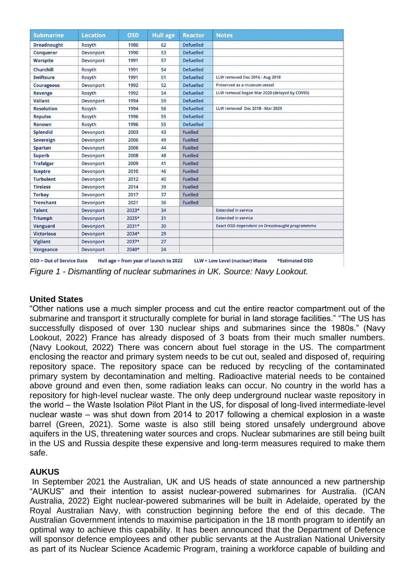| <b>Submarine</b>                                                                                                                | <b>Location</b>  | <b>OSD</b> | <b>Hull age</b> | <b>Reactor</b>   | <b>Notes</b>                                         |
|---------------------------------------------------------------------------------------------------------------------------------|------------------|------------|-----------------|------------------|------------------------------------------------------|
| <b>Dreadnought</b>                                                                                                              | <b>Rosyth</b>    | 1980       | 62              | <b>Defuelled</b> |                                                      |
| <b>Conqueror</b>                                                                                                                | Devonport        | 1990       | 53              | <b>Defuelled</b> |                                                      |
| <b>Warspite</b>                                                                                                                 | Devonport        | 1991       | 57              | <b>Defuelled</b> |                                                      |
| <b>Churchill</b>                                                                                                                | <b>Rosyth</b>    | 1991       | 54              | <b>Defuelled</b> |                                                      |
| <b>Swiftsure</b>                                                                                                                | <b>Rosyth</b>    | 1991       | 51              | <b>Defuelled</b> | LLW removed Dec 2016 - Aug 2018                      |
| <b>Courageous</b>                                                                                                               | <b>Devonport</b> | 1992       | 52              | <b>Defuelled</b> | Preserved as a museum vessel                         |
| <b>Revenge</b>                                                                                                                  | <b>Rosyth</b>    | 1992       | 54              | <b>Defuelled</b> | LLW removal began Mar 2020 (delayed by COVID)        |
| <b>Valiant</b>                                                                                                                  | <b>Devonport</b> | 1994       | 59              | <b>Defuelled</b> |                                                      |
| <b>Resolution</b>                                                                                                               | <b>Rosyth</b>    | 1994       | 56              | <b>Defuelled</b> | LLW removed Dec 2018 - Mar 2020                      |
| <b>Repulse</b>                                                                                                                  | <b>Rosyth</b>    | 1996       | 55              | <b>Defuelled</b> |                                                      |
| <b>Renown</b>                                                                                                                   | <b>Rosyth</b>    | 1996       | 55              | <b>Defuelled</b> |                                                      |
| <b>Splendid</b>                                                                                                                 | <b>Devonport</b> | 2003       | 43              | <b>Fuelled</b>   |                                                      |
| <b>Sovereign</b>                                                                                                                | Devonport        | 2006       | 49              | <b>Fuelled</b>   |                                                      |
| <b>Spartan</b>                                                                                                                  | <b>Devonport</b> | 2006       | 44              | <b>Fuelled</b>   |                                                      |
| <b>Superb</b>                                                                                                                   | <b>Devonport</b> | 2008       | 48              | <b>Fuelled</b>   |                                                      |
| <b>Trafalgar</b>                                                                                                                | <b>Devonport</b> | 2009       | 41              | <b>Fuelled</b>   |                                                      |
| <b>Sceptre</b>                                                                                                                  | <b>Devonport</b> | 2010       | 46              | <b>Fuelled</b>   |                                                      |
| <b>Turbulent</b>                                                                                                                | <b>Devonport</b> | 2012       | 40              | <b>Fuelled</b>   |                                                      |
| <b>Tireless</b>                                                                                                                 | <b>Devonport</b> | 2014       | 39              | <b>Fuelled</b>   |                                                      |
| <b>Torbay</b>                                                                                                                   | <b>Devonport</b> | 2017       | 37              | <b>Fuelled</b>   |                                                      |
| <b>Trenchant</b>                                                                                                                | <b>Devonport</b> | 2021       | 36              | <b>Fuelled</b>   |                                                      |
| <b>Talent</b>                                                                                                                   | <b>Devonport</b> | 2023*      | 34              |                  | <b>Extended in service</b>                           |
| <b>Triumph</b>                                                                                                                  | <b>Devonport</b> | 2025*      | 31              |                  | <b>Extended in service</b>                           |
| <b>Vanguard</b>                                                                                                                 | <b>Devonport</b> | $2031*$    | 30              |                  | <b>Exact OSD dependent on Dreadnought programmme</b> |
| <b>Victorious</b>                                                                                                               | <b>Devonport</b> | 2034*      | 29              |                  |                                                      |
| <b>Vigilant</b>                                                                                                                 | <b>Devonport</b> | 2037*      | 27              |                  |                                                      |
| <b>Vengeance</b>                                                                                                                | <b>Devonport</b> | 2040*      | 24              |                  |                                                      |
| <b>OSD = Out of Service Date</b><br>Hull age = from year of launch to 2022<br>LLW = Low Level (nuclear) Waste<br>*Estimated OSD |                  |            |                 |                  |                                                      |

*Figure 1 - Dismantling of nuclear submarines in UK. Source: Navy Lookout.*

# **United States**

"Other nations use a much simpler process and cut the entire reactor compartment out of the submarine and transport it structurally complete for burial in land storage facilities." "The US has successfully disposed of over 130 nuclear ships and submarines since the 1980s." (Navy Lookout, 2022) France has already disposed of 3 boats from their much smaller numbers. (Navy Lookout, 2022) There was concern about fuel storage in the US. The compartment enclosing the reactor and primary system needs to be cut out, sealed and disposed of, requiring repository space. The repository space can be reduced by recycling of the contaminated primary system by decontamination and melting. Radioactive material needs to be contained above ground and even then, some radiation leaks can occur. No country in the world has a repository for high-level nuclear waste. The only deep underground nuclear waste repository in the world – the Waste Isolation Pilot Plant in the US, for disposal of long-lived intermediate-level nuclear waste – was shut down from 2014 to 2017 following a chemical explosion in a waste barrel (Green, 2021). Some waste is also still being stored unsafely underground above aquifers in the US, threatening water sources and crops. Nuclear submarines are still being built in the US and Russia despite these expensive and long-term measures required to make them safe.

# **AUKUS**

In September 2021 the Australian, UK and US heads of state announced a new partnership "AUKUS" and their intention to assist nuclear-powered submarines for Australia. (ICAN Australia, 2022) Eight nuclear-powered submarines will be built in Adelaide, operated by the Royal Australian Navy, with construction beginning before the end of this decade. The Australian Government intends to maximise participation in the 18 month program to identify an optimal way to achieve this capability. It has been announced that the Department of Defence will sponsor defence employees and other public servants at the Australian National University as part of its Nuclear Science Academic Program, training a workforce capable of building and